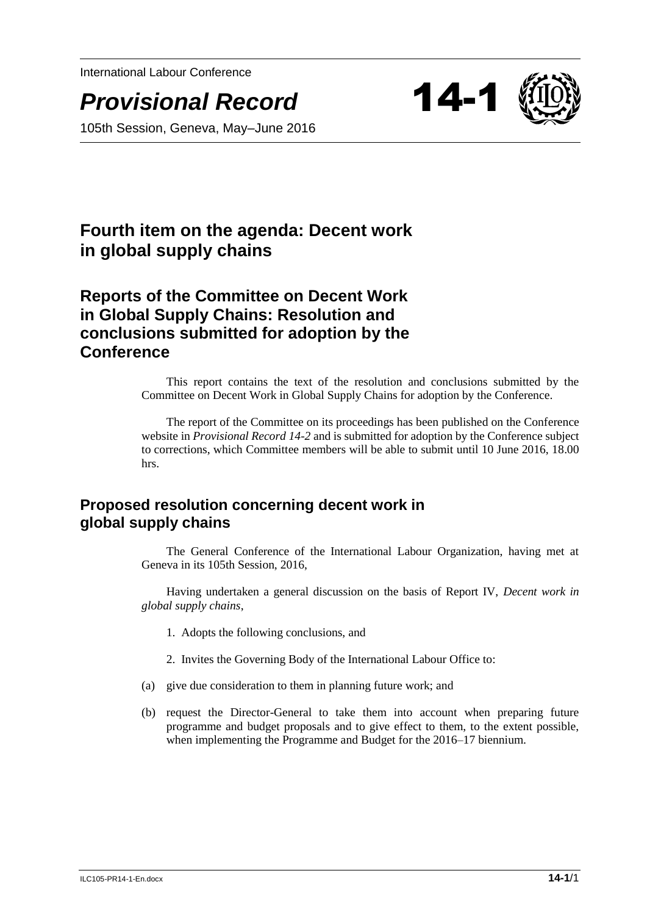International Labour Conference

*Provisional Record* 14-1





# **Fourth item on the agenda: Decent work in global supply chains**

## **Reports of the Committee on Decent Work in Global Supply Chains: Resolution and conclusions submitted for adoption by the Conference**

This report contains the text of the resolution and conclusions submitted by the Committee on Decent Work in Global Supply Chains for adoption by the Conference.

The report of the Committee on its proceedings has been published on the Conference website in *Provisional Record 14-2* and is submitted for adoption by the Conference subject to corrections, which Committee members will be able to submit until 10 June 2016, 18.00 hrs.

### **Proposed resolution concerning decent work in global supply chains**

The General Conference of the International Labour Organization, having met at Geneva in its 105th Session, 2016,

Having undertaken a general discussion on the basis of Report IV, *Decent work in global supply chains*,

- 1. Adopts the following conclusions, and
- 2. Invites the Governing Body of the International Labour Office to:
- (a) give due consideration to them in planning future work; and
- (b) request the Director-General to take them into account when preparing future programme and budget proposals and to give effect to them, to the extent possible, when implementing the Programme and Budget for the 2016–17 biennium.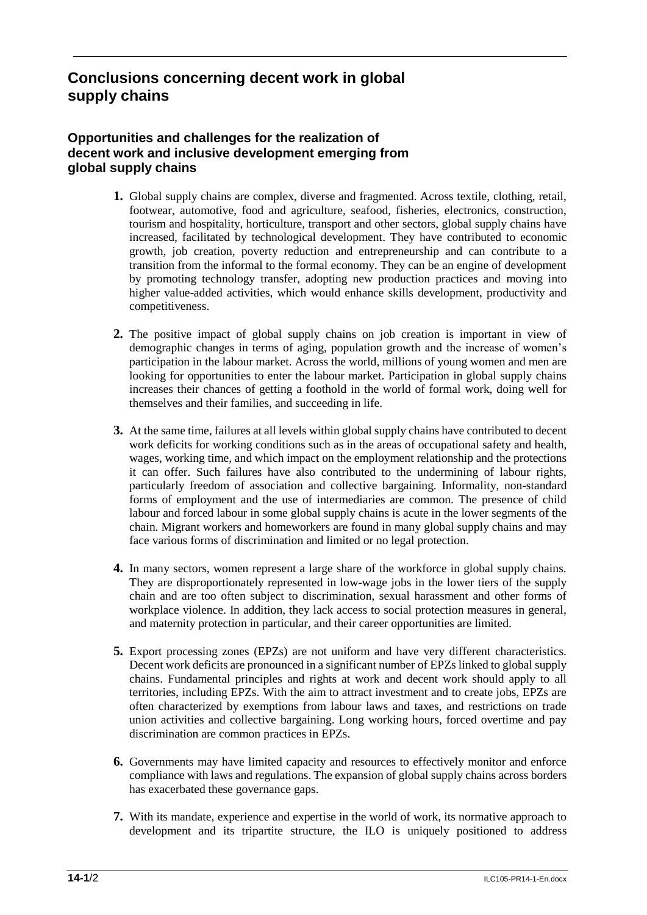### **Conclusions concerning decent work in global supply chains**

#### **Opportunities and challenges for the realization of decent work and inclusive development emerging from global supply chains**

- **1.** Global supply chains are complex, diverse and fragmented. Across textile, clothing, retail, footwear, automotive, food and agriculture, seafood, fisheries, electronics, construction, tourism and hospitality, horticulture, transport and other sectors, global supply chains have increased, facilitated by technological development. They have contributed to economic growth, job creation, poverty reduction and entrepreneurship and can contribute to a transition from the informal to the formal economy. They can be an engine of development by promoting technology transfer, adopting new production practices and moving into higher value-added activities, which would enhance skills development, productivity and competitiveness.
- **2.** The positive impact of global supply chains on job creation is important in view of demographic changes in terms of aging, population growth and the increase of women's participation in the labour market. Across the world, millions of young women and men are looking for opportunities to enter the labour market. Participation in global supply chains increases their chances of getting a foothold in the world of formal work, doing well for themselves and their families, and succeeding in life.
- **3.** At the same time, failures at all levels within global supply chains have contributed to decent work deficits for working conditions such as in the areas of occupational safety and health, wages, working time, and which impact on the employment relationship and the protections it can offer. Such failures have also contributed to the undermining of labour rights, particularly freedom of association and collective bargaining. Informality, non-standard forms of employment and the use of intermediaries are common. The presence of child labour and forced labour in some global supply chains is acute in the lower segments of the chain. Migrant workers and homeworkers are found in many global supply chains and may face various forms of discrimination and limited or no legal protection.
- **4.** In many sectors, women represent a large share of the workforce in global supply chains. They are disproportionately represented in low-wage jobs in the lower tiers of the supply chain and are too often subject to discrimination, sexual harassment and other forms of workplace violence. In addition, they lack access to social protection measures in general, and maternity protection in particular, and their career opportunities are limited.
- **5.** Export processing zones (EPZs) are not uniform and have very different characteristics. Decent work deficits are pronounced in a significant number of EPZs linked to global supply chains. Fundamental principles and rights at work and decent work should apply to all territories, including EPZs. With the aim to attract investment and to create jobs, EPZs are often characterized by exemptions from labour laws and taxes, and restrictions on trade union activities and collective bargaining. Long working hours, forced overtime and pay discrimination are common practices in EPZs.
- **6.** Governments may have limited capacity and resources to effectively monitor and enforce compliance with laws and regulations. The expansion of global supply chains across borders has exacerbated these governance gaps.
- **7.** With its mandate, experience and expertise in the world of work, its normative approach to development and its tripartite structure, the ILO is uniquely positioned to address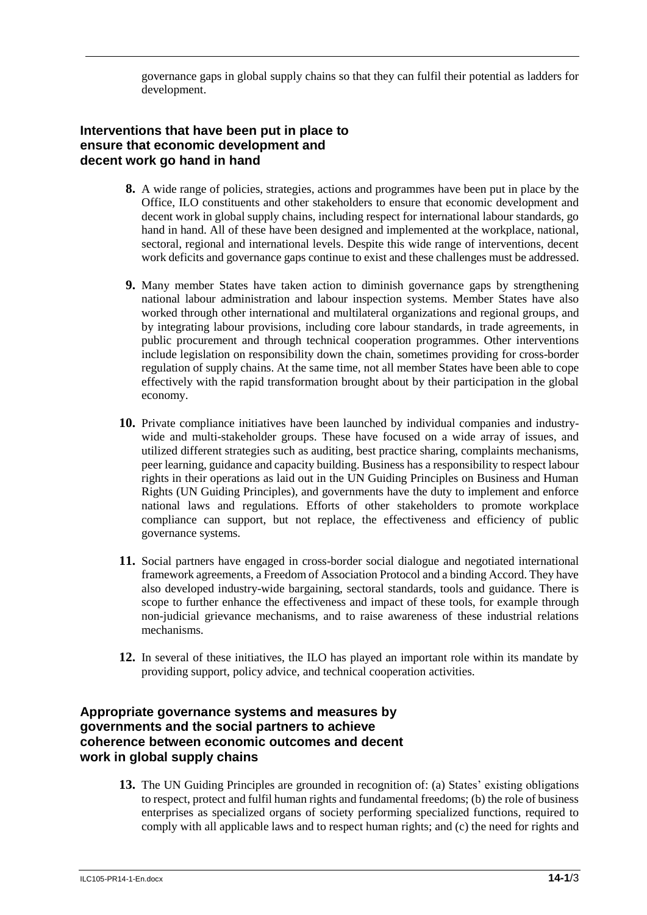governance gaps in global supply chains so that they can fulfil their potential as ladders for development.

#### **Interventions that have been put in place to ensure that economic development and decent work go hand in hand**

- **8.** A wide range of policies, strategies, actions and programmes have been put in place by the Office, ILO constituents and other stakeholders to ensure that economic development and decent work in global supply chains, including respect for international labour standards, go hand in hand. All of these have been designed and implemented at the workplace, national, sectoral, regional and international levels. Despite this wide range of interventions, decent work deficits and governance gaps continue to exist and these challenges must be addressed.
- **9.** Many member States have taken action to diminish governance gaps by strengthening national labour administration and labour inspection systems. Member States have also worked through other international and multilateral organizations and regional groups, and by integrating labour provisions, including core labour standards, in trade agreements, in public procurement and through technical cooperation programmes. Other interventions include legislation on responsibility down the chain, sometimes providing for cross-border regulation of supply chains. At the same time, not all member States have been able to cope effectively with the rapid transformation brought about by their participation in the global economy.
- **10.** Private compliance initiatives have been launched by individual companies and industrywide and multi-stakeholder groups. These have focused on a wide array of issues, and utilized different strategies such as auditing, best practice sharing, complaints mechanisms, peer learning, guidance and capacity building. Business has a responsibility to respect labour rights in their operations as laid out in the UN Guiding Principles on Business and Human Rights (UN Guiding Principles), and governments have the duty to implement and enforce national laws and regulations. Efforts of other stakeholders to promote workplace compliance can support, but not replace, the effectiveness and efficiency of public governance systems.
- **11.** Social partners have engaged in cross-border social dialogue and negotiated international framework agreements, a Freedom of Association Protocol and a binding Accord. They have also developed industry-wide bargaining, sectoral standards, tools and guidance. There is scope to further enhance the effectiveness and impact of these tools, for example through non-judicial grievance mechanisms, and to raise awareness of these industrial relations mechanisms.
- **12.** In several of these initiatives, the ILO has played an important role within its mandate by providing support, policy advice, and technical cooperation activities.

#### **Appropriate governance systems and measures by governments and the social partners to achieve coherence between economic outcomes and decent work in global supply chains**

**13.** The UN Guiding Principles are grounded in recognition of: (a) States' existing obligations to respect, protect and fulfil human rights and fundamental freedoms; (b) the role of business enterprises as specialized organs of society performing specialized functions, required to comply with all applicable laws and to respect human rights; and (c) the need for rights and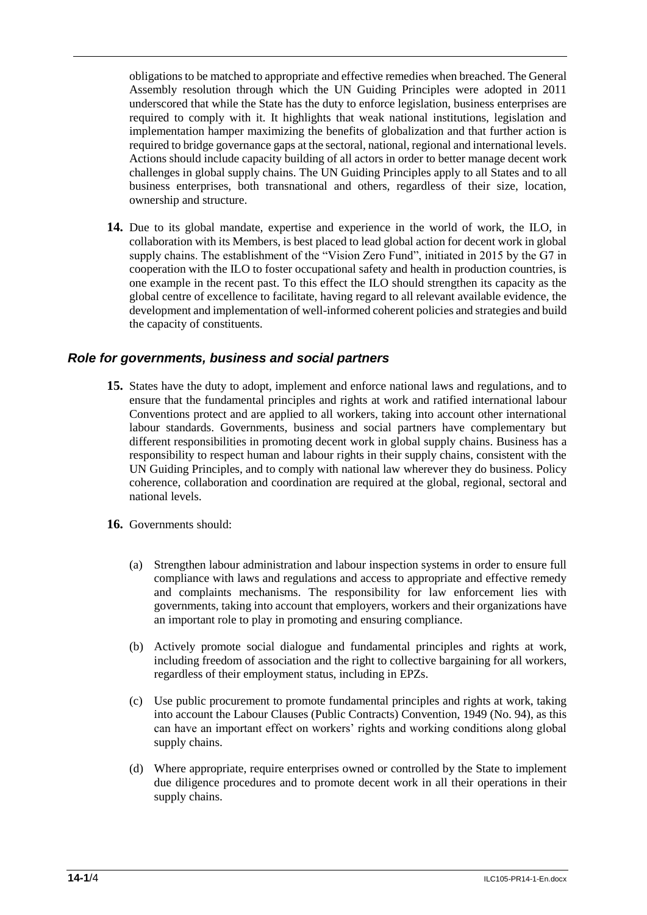obligations to be matched to appropriate and effective remedies when breached. The General Assembly resolution through which the UN Guiding Principles were adopted in 2011 underscored that while the State has the duty to enforce legislation, business enterprises are required to comply with it. It highlights that weak national institutions, legislation and implementation hamper maximizing the benefits of globalization and that further action is required to bridge governance gaps at the sectoral, national, regional and international levels. Actions should include capacity building of all actors in order to better manage decent work challenges in global supply chains. The UN Guiding Principles apply to all States and to all business enterprises, both transnational and others, regardless of their size, location, ownership and structure.

**14.** Due to its global mandate, expertise and experience in the world of work, the ILO, in collaboration with its Members, is best placed to lead global action for decent work in global supply chains. The establishment of the "Vision Zero Fund", initiated in 2015 by the G7 in cooperation with the ILO to foster occupational safety and health in production countries, is one example in the recent past. To this effect the ILO should strengthen its capacity as the global centre of excellence to facilitate, having regard to all relevant available evidence, the development and implementation of well-informed coherent policies and strategies and build the capacity of constituents.

#### *Role for governments, business and social partners*

- **15.** States have the duty to adopt, implement and enforce national laws and regulations, and to ensure that the fundamental principles and rights at work and ratified international labour Conventions protect and are applied to all workers, taking into account other international labour standards. Governments, business and social partners have complementary but different responsibilities in promoting decent work in global supply chains. Business has a responsibility to respect human and labour rights in their supply chains, consistent with the UN Guiding Principles, and to comply with national law wherever they do business. Policy coherence, collaboration and coordination are required at the global, regional, sectoral and national levels.
- **16.** Governments should:
	- (a) Strengthen labour administration and labour inspection systems in order to ensure full compliance with laws and regulations and access to appropriate and effective remedy and complaints mechanisms. The responsibility for law enforcement lies with governments, taking into account that employers, workers and their organizations have an important role to play in promoting and ensuring compliance.
	- (b) Actively promote social dialogue and fundamental principles and rights at work, including freedom of association and the right to collective bargaining for all workers, regardless of their employment status, including in EPZs.
	- (c) Use public procurement to promote fundamental principles and rights at work, taking into account the Labour Clauses (Public Contracts) Convention, 1949 (No. 94), as this can have an important effect on workers' rights and working conditions along global supply chains.
	- (d) Where appropriate, require enterprises owned or controlled by the State to implement due diligence procedures and to promote decent work in all their operations in their supply chains.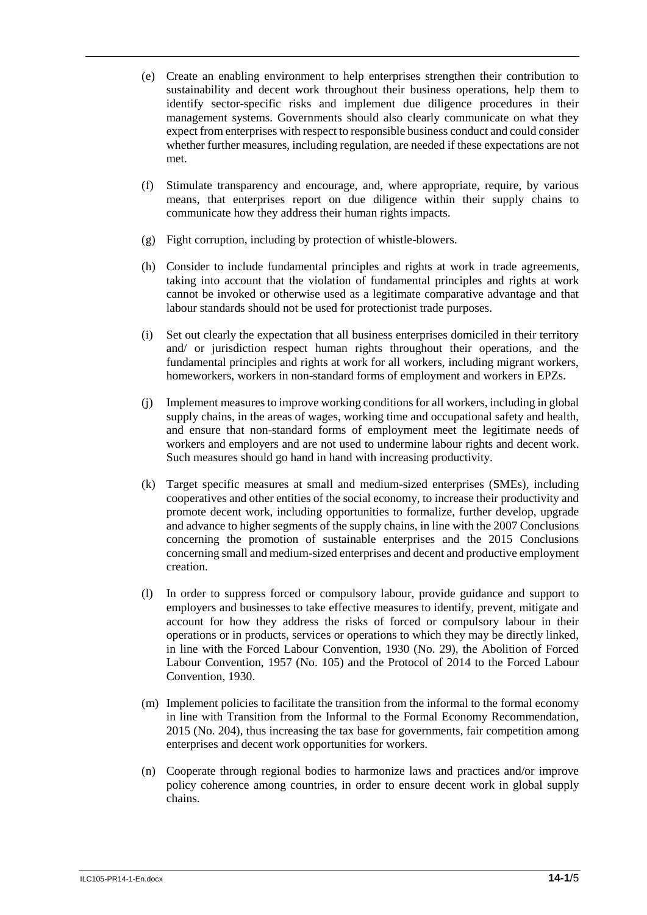- (e) Create an enabling environment to help enterprises strengthen their contribution to sustainability and decent work throughout their business operations, help them to identify sector-specific risks and implement due diligence procedures in their management systems. Governments should also clearly communicate on what they expect from enterprises with respect to responsible business conduct and could consider whether further measures, including regulation, are needed if these expectations are not met.
- (f) Stimulate transparency and encourage, and, where appropriate, require, by various means, that enterprises report on due diligence within their supply chains to communicate how they address their human rights impacts.
- (g) Fight corruption, including by protection of whistle-blowers.
- (h) Consider to include fundamental principles and rights at work in trade agreements, taking into account that the violation of fundamental principles and rights at work cannot be invoked or otherwise used as a legitimate comparative advantage and that labour standards should not be used for protectionist trade purposes.
- (i) Set out clearly the expectation that all business enterprises domiciled in their territory and/ or jurisdiction respect human rights throughout their operations, and the fundamental principles and rights at work for all workers, including migrant workers, homeworkers, workers in non-standard forms of employment and workers in EPZs.
- (j) Implement measures to improve working conditions for all workers, including in global supply chains, in the areas of wages, working time and occupational safety and health, and ensure that non-standard forms of employment meet the legitimate needs of workers and employers and are not used to undermine labour rights and decent work. Such measures should go hand in hand with increasing productivity.
- (k) Target specific measures at small and medium-sized enterprises (SMEs), including cooperatives and other entities of the social economy, to increase their productivity and promote decent work, including opportunities to formalize, further develop, upgrade and advance to higher segments of the supply chains, in line with the 2007 Conclusions concerning the promotion of sustainable enterprises and the 2015 Conclusions concerning small and medium-sized enterprises and decent and productive employment creation.
- (l) In order to suppress forced or compulsory labour, provide guidance and support to employers and businesses to take effective measures to identify, prevent, mitigate and account for how they address the risks of forced or compulsory labour in their operations or in products, services or operations to which they may be directly linked, in line with the Forced Labour Convention, 1930 (No. 29), the Abolition of Forced Labour Convention, 1957 (No. 105) and the Protocol of 2014 to the Forced Labour Convention, 1930.
- (m) Implement policies to facilitate the transition from the informal to the formal economy in line with Transition from the Informal to the Formal Economy Recommendation, 2015 (No. 204), thus increasing the tax base for governments, fair competition among enterprises and decent work opportunities for workers.
- (n) Cooperate through regional bodies to harmonize laws and practices and/or improve policy coherence among countries, in order to ensure decent work in global supply chains.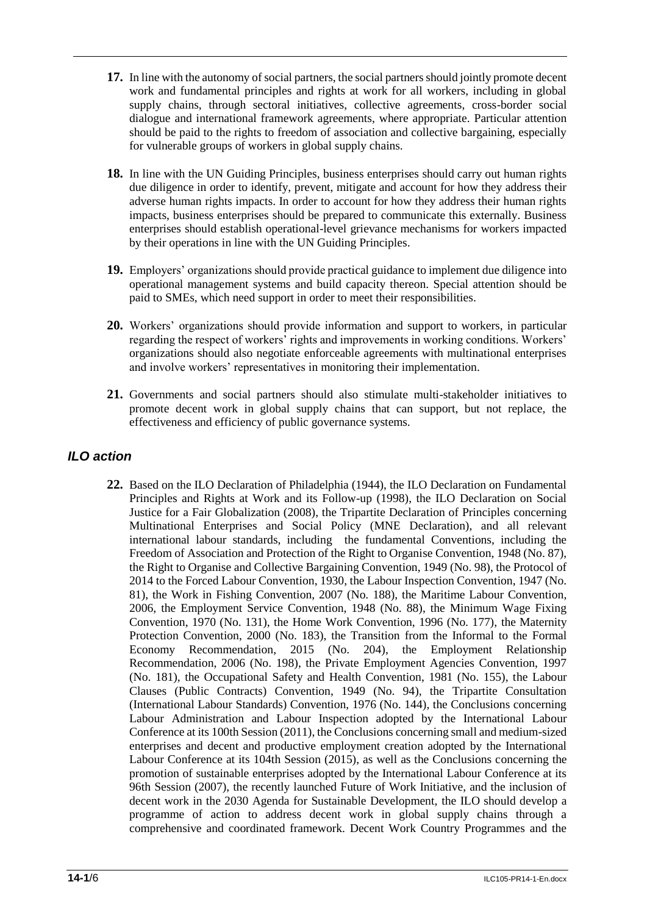- **17.** In line with the autonomy of social partners, the social partners should jointly promote decent work and fundamental principles and rights at work for all workers, including in global supply chains, through sectoral initiatives, collective agreements, cross-border social dialogue and international framework agreements, where appropriate. Particular attention should be paid to the rights to freedom of association and collective bargaining, especially for vulnerable groups of workers in global supply chains.
- **18.** In line with the UN Guiding Principles, business enterprises should carry out human rights due diligence in order to identify, prevent, mitigate and account for how they address their adverse human rights impacts. In order to account for how they address their human rights impacts, business enterprises should be prepared to communicate this externally. Business enterprises should establish operational-level grievance mechanisms for workers impacted by their operations in line with the UN Guiding Principles.
- **19.** Employers' organizations should provide practical guidance to implement due diligence into operational management systems and build capacity thereon. Special attention should be paid to SMEs, which need support in order to meet their responsibilities.
- **20.** Workers' organizations should provide information and support to workers, in particular regarding the respect of workers' rights and improvements in working conditions. Workers' organizations should also negotiate enforceable agreements with multinational enterprises and involve workers' representatives in monitoring their implementation.
- **21.** Governments and social partners should also stimulate multi-stakeholder initiatives to promote decent work in global supply chains that can support, but not replace, the effectiveness and efficiency of public governance systems.

#### *ILO action*

**22.** Based on the ILO Declaration of Philadelphia (1944), the ILO Declaration on Fundamental Principles and Rights at Work and its Follow-up (1998), the ILO Declaration on Social Justice for a Fair Globalization (2008), the Tripartite Declaration of Principles concerning Multinational Enterprises and Social Policy (MNE Declaration), and all relevant international labour standards, including the fundamental Conventions, including the Freedom of Association and Protection of the Right to Organise Convention, 1948 (No. 87), the Right to Organise and Collective Bargaining Convention, 1949 (No. 98), the Protocol of 2014 to the Forced Labour Convention, 1930, the Labour Inspection Convention, 1947 (No. 81), the Work in Fishing Convention, 2007 (No. 188), the Maritime Labour Convention, 2006, the Employment Service Convention, 1948 (No. 88), the Minimum Wage Fixing Convention, 1970 (No. 131), the Home Work Convention, 1996 (No. 177), the Maternity Protection Convention, 2000 (No. 183), the Transition from the Informal to the Formal Economy Recommendation, 2015 (No. 204), the Employment Relationship Recommendation, 2006 (No. 198), the Private Employment Agencies Convention, 1997 (No. 181), the Occupational Safety and Health Convention, 1981 (No. 155), the Labour Clauses (Public Contracts) Convention, 1949 (No. 94), the Tripartite Consultation (International Labour Standards) Convention, 1976 (No. 144), the Conclusions concerning Labour Administration and Labour Inspection adopted by the International Labour Conference at its 100th Session (2011), the Conclusions concerning small and medium-sized enterprises and decent and productive employment creation adopted by the International Labour Conference at its 104th Session (2015), as well as the Conclusions concerning the promotion of sustainable enterprises adopted by the International Labour Conference at its 96th Session (2007), the recently launched Future of Work Initiative, and the inclusion of decent work in the 2030 Agenda for Sustainable Development, the ILO should develop a programme of action to address decent work in global supply chains through a comprehensive and coordinated framework. Decent Work Country Programmes and the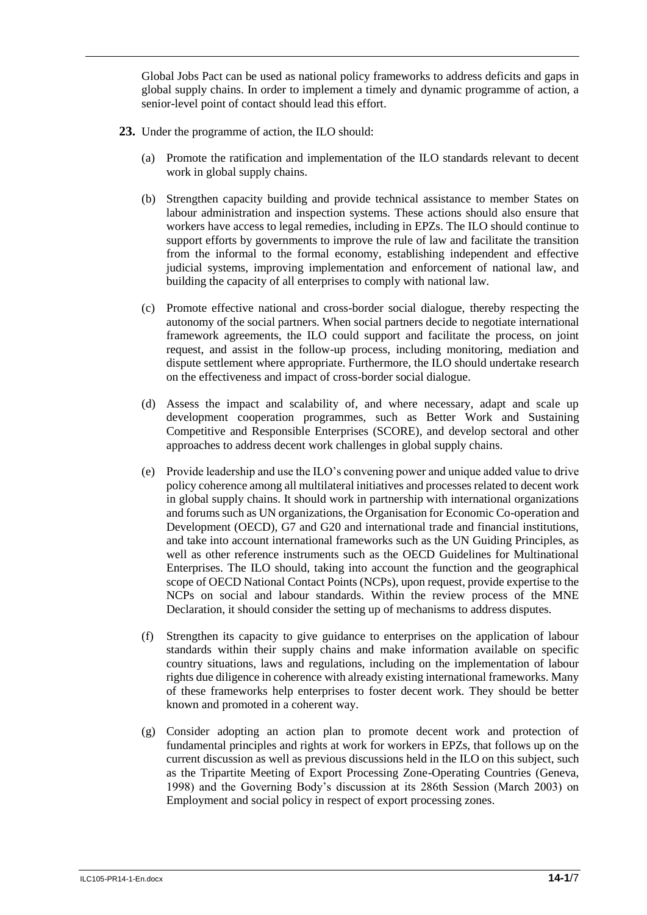Global Jobs Pact can be used as national policy frameworks to address deficits and gaps in global supply chains. In order to implement a timely and dynamic programme of action, a senior-level point of contact should lead this effort.

- **23.** Under the programme of action, the ILO should:
	- (a) Promote the ratification and implementation of the ILO standards relevant to decent work in global supply chains.
	- (b) Strengthen capacity building and provide technical assistance to member States on labour administration and inspection systems. These actions should also ensure that workers have access to legal remedies, including in EPZs. The ILO should continue to support efforts by governments to improve the rule of law and facilitate the transition from the informal to the formal economy, establishing independent and effective judicial systems, improving implementation and enforcement of national law, and building the capacity of all enterprises to comply with national law.
	- (c) Promote effective national and cross-border social dialogue, thereby respecting the autonomy of the social partners. When social partners decide to negotiate international framework agreements, the ILO could support and facilitate the process, on joint request, and assist in the follow-up process, including monitoring, mediation and dispute settlement where appropriate. Furthermore, the ILO should undertake research on the effectiveness and impact of cross-border social dialogue.
	- (d) Assess the impact and scalability of, and where necessary, adapt and scale up development cooperation programmes, such as Better Work and Sustaining Competitive and Responsible Enterprises (SCORE), and develop sectoral and other approaches to address decent work challenges in global supply chains.
	- (e) Provide leadership and use the ILO's convening power and unique added value to drive policy coherence among all multilateral initiatives and processes related to decent work in global supply chains. It should work in partnership with international organizations and forums such as UN organizations, the Organisation for Economic Co-operation and Development (OECD), G7 and G20 and international trade and financial institutions, and take into account international frameworks such as the UN Guiding Principles, as well as other reference instruments such as the OECD Guidelines for Multinational Enterprises. The ILO should, taking into account the function and the geographical scope of OECD National Contact Points (NCPs), upon request, provide expertise to the NCPs on social and labour standards. Within the review process of the MNE Declaration, it should consider the setting up of mechanisms to address disputes.
	- (f) Strengthen its capacity to give guidance to enterprises on the application of labour standards within their supply chains and make information available on specific country situations, laws and regulations, including on the implementation of labour rights due diligence in coherence with already existing international frameworks. Many of these frameworks help enterprises to foster decent work. They should be better known and promoted in a coherent way.
	- (g) Consider adopting an action plan to promote decent work and protection of fundamental principles and rights at work for workers in EPZs, that follows up on the current discussion as well as previous discussions held in the ILO on this subject, such as the Tripartite Meeting of Export Processing Zone-Operating Countries (Geneva, 1998) and the Governing Body's discussion at its 286th Session (March 2003) on Employment and social policy in respect of export processing zones.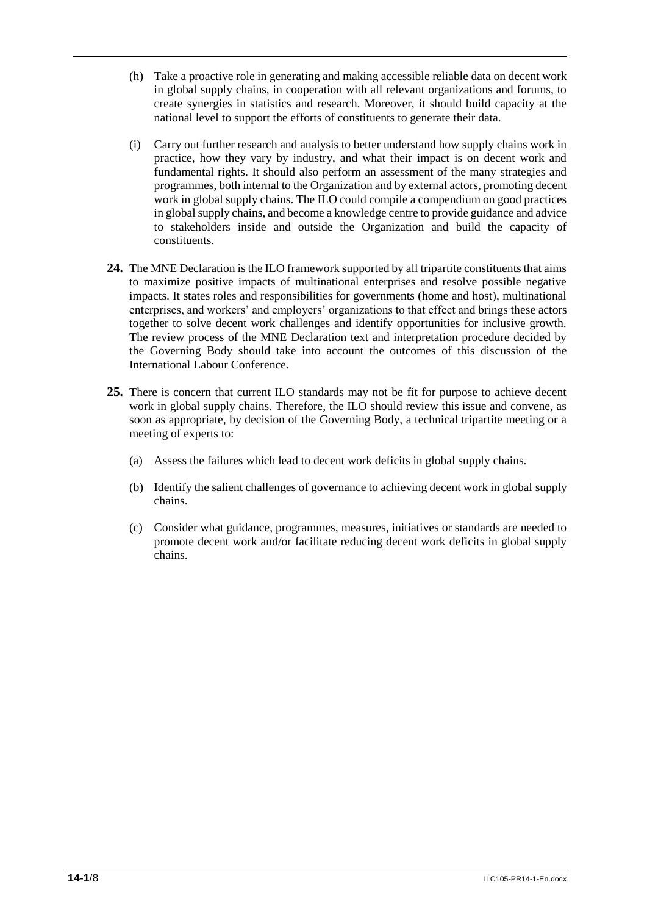- (h) Take a proactive role in generating and making accessible reliable data on decent work in global supply chains, in cooperation with all relevant organizations and forums, to create synergies in statistics and research. Moreover, it should build capacity at the national level to support the efforts of constituents to generate their data.
- (i) Carry out further research and analysis to better understand how supply chains work in practice, how they vary by industry, and what their impact is on decent work and fundamental rights. It should also perform an assessment of the many strategies and programmes, both internal to the Organization and by external actors, promoting decent work in global supply chains. The ILO could compile a compendium on good practices in global supply chains, and become a knowledge centre to provide guidance and advice to stakeholders inside and outside the Organization and build the capacity of constituents.
- **24.** The MNE Declaration is the ILO framework supported by all tripartite constituents that aims to maximize positive impacts of multinational enterprises and resolve possible negative impacts. It states roles and responsibilities for governments (home and host), multinational enterprises, and workers' and employers' organizations to that effect and brings these actors together to solve decent work challenges and identify opportunities for inclusive growth. The review process of the MNE Declaration text and interpretation procedure decided by the Governing Body should take into account the outcomes of this discussion of the International Labour Conference.
- **25.** There is concern that current ILO standards may not be fit for purpose to achieve decent work in global supply chains. Therefore, the ILO should review this issue and convene, as soon as appropriate, by decision of the Governing Body, a technical tripartite meeting or a meeting of experts to:
	- (a) Assess the failures which lead to decent work deficits in global supply chains.
	- (b) Identify the salient challenges of governance to achieving decent work in global supply chains.
	- (c) Consider what guidance, programmes, measures, initiatives or standards are needed to promote decent work and/or facilitate reducing decent work deficits in global supply chains.